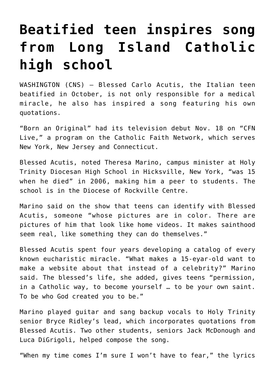## **[Beatified teen inspires song](https://www.osvnews.com/2020/12/01/beatified-teen-inspires-song-from-long-island-catholic-high-school/) [from Long Island Catholic](https://www.osvnews.com/2020/12/01/beatified-teen-inspires-song-from-long-island-catholic-high-school/) [high school](https://www.osvnews.com/2020/12/01/beatified-teen-inspires-song-from-long-island-catholic-high-school/)**

WASHINGTON (CNS) — Blessed Carlo Acutis, the Italian teen beatified in October, is not only responsible for a medical miracle, he also has inspired a song featuring his own quotations.

"Born an Original" had its television debut Nov. 18 on "CFN Live," a program on the Catholic Faith Network, which serves New York, New Jersey and Connecticut.

Blessed Acutis, noted Theresa Marino, campus minister at Holy Trinity Diocesan High School in Hicksville, New York, "was 15 when he died" in 2006, making him a peer to students. The school is in the Diocese of Rockville Centre.

Marino said on the show that teens can identify with Blessed Acutis, someone "whose pictures are in color. There are pictures of him that look like home videos. It makes sainthood seem real, like something they can do themselves."

Blessed Acutis spent four years developing a catalog of every known eucharistic miracle. "What makes a 15-eyar-old want to make a website about that instead of a celebrity?" Marino said. The blessed's life, she added, gives teens "permission, in a Catholic way, to become yourself … to be your own saint. To be who God created you to be."

Marino played guitar and sang backup vocals to Holy Trinity senior Bryce Ridley's lead, which incorporates quotations from Blessed Acutis. Two other students, seniors Jack McDonough and Luca DiGrigoli, helped compose the song.

"When my time comes I'm sure I won't have to fear," the lyrics